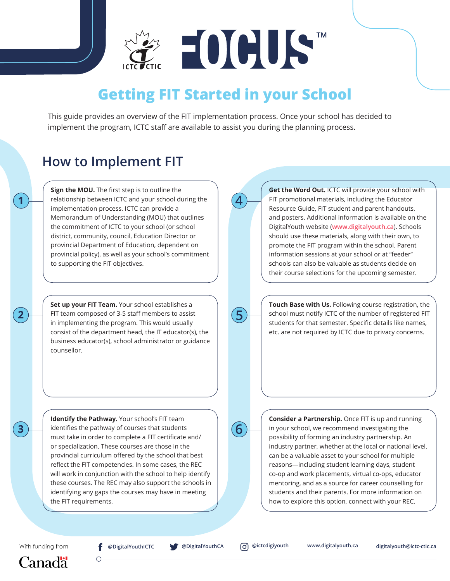**EOCUST** 

## **Getting FIT Started in your School**

This guide provides an overview of the FIT implementation process. Once your school has decided to implement the program, ICTC staff are available to assist you during the planning process.

**4**

**4**

## **How to Implement FIT**

**Sign the MOU.** The first step is to outline the relationship between ICTC and your school during the implementation process. ICTC can provide a Memorandum of Understanding (MOU) that outlines the commitment of ICTC to your school (or school district, community, council, Education Director or provincial Department of Education, dependent on provincial policy), as well as your school's commitment to supporting the FIT objectives.

**2 1** FIT team composed of 3-5 staff members to assist  $\overline{\mathbf{5}}$ **Set up your FIT Team.** Your school establishes a in implementing the program. This would usually consist of the department head, the IT educator(s), the business educator(s), school administrator or guidance counsellor.

> **Identify the Pathway.** Your school's FIT team identifies the pathway of courses that students must take in order to complete a FIT certificate and/ or specialization. These courses are those in the provincial curriculum offered by the school that best reflect the FIT competencies. In some cases, the REC will work in conjunction with the school to help identify these courses. The REC may also support the schools in identifying any gaps the courses may have in meeting the FIT requirements.

**Get the Word Out.** ICTC will provide your school with FIT promotional materials, including the Educator Resource Guide, FIT student and parent handouts, and posters. Additional information is available on the DigitalYouth website (**www.digitalyouth.ca**). Schools should use these materials, along with their own, to promote the FIT program within the school. Parent information sessions at your school or at "feeder" schools can also be valuable as students decide on their course selections for the upcoming semester.

**Touch Base with Us.** Following course registration, the school must notify ICTC of the number of registered FIT students for that semester. Specific details like names, etc. are not required by ICTC due to privacy concerns.

**Consider a Partnership.** Once FIT is up and running in your school, we recommend investigating the possibility of forming an industry partnership. An industry partner, whether at the local or national level, can be a valuable asset to your school for multiple reasons—including student learning days, student co-op and work placements, virtual co-ops, educator mentoring, and as a source for career counselling for students and their parents. For more information on how to explore this option, connect with your REC.

With funding from

**3**

**1**

## Canad<sub>3</sub>

**@DigitalYouthICTC @DigitalYouthCA @ictcdigiyouth www.digitalyouth.ca digitalyouth@ictc-ctic.ca**

**6**